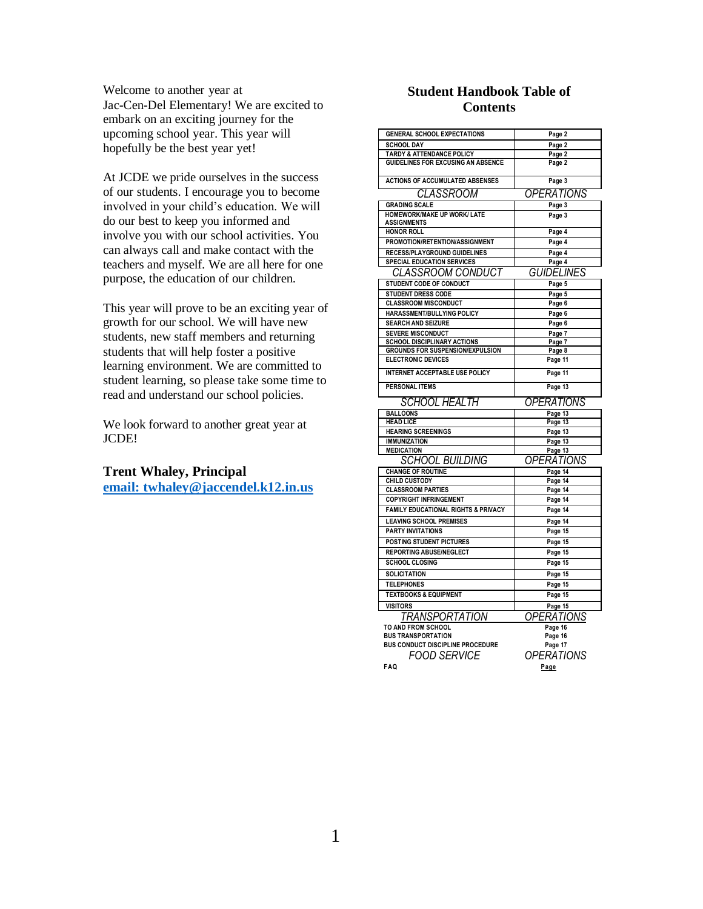Welcome to another year at Jac-Cen-Del Elementary! We are excited to embark on an exciting journey for the upcoming school year. This year will hopefully be the best year yet!

At JCDE we pride ourselves in the success of our students. I encourage you to become involved in your child's education. We will do our best to keep you informed and involve you with our school activities. You can always call and make contact with the teachers and myself. We are all here for one purpose, the education of our children.

This year will prove to be an exciting year of growth for our school. We will have new students, new staff members and returning students that will help foster a positive learning environment. We are committed to student learning, so please take some time to read and understand our school policies.

We look forward to another great year at JCDE!

# **Trent Whaley, Principal**

**[email: twhaley@jaccendel.k12.in.us](mailto:email:%20twhaley@jaccendel.k12.in.us)**

# **Student Handbook Table of Contents**

| <b>GENERAL SCHOOL EXPECTATIONS</b>                  | Page 2                   |
|-----------------------------------------------------|--------------------------|
| <b>SCHOOL DAY</b>                                   | Page 2                   |
| TARDY & ATTENDANCE POLICY                           | Page 2                   |
| <b>GUIDELINES FOR EXCUSING AN ABSENCE</b>           | Page 2                   |
| <b>ACTIONS OF ACCUMULATED ABSENSES</b>              | Page 3                   |
| CLASSROOM                                           | <i>OPERATIONS</i>        |
| <b>GRADING SCALE</b>                                | Page 3                   |
| <b>HOMEWORK/MAKE UP WORK/ LATE</b>                  | Page 3                   |
| <b>ASSIGNMENTS</b>                                  |                          |
| <b>HONOR ROLL</b><br>PROMOTION/RETENTION/ASSIGNMENT | Page 4                   |
| <b>RECESS/PLAYGROUND GUIDELINES</b>                 | Page 4                   |
| <b>SPECIAL EDUCATION SERVICES</b>                   | Page 4<br>Page 4         |
| <b>CLASSROOM CONDUCT</b>                            | <b>GUIDELINES</b>        |
| STUDENT CODE OF CONDUCT                             | Page 5                   |
| <b>STUDENT DRESS CODE</b>                           | Page 5                   |
| <b>CLASSROOM MISCONDUCT</b>                         | Page 6                   |
| HARASSMENT/BULLYING POLICY                          | Page 6                   |
| <b>SEARCH AND SEIZURE</b>                           | Page 6                   |
| <b>SEVERE MISCONDUCT</b>                            | Page 7                   |
| <b>SCHOOL DISCIPLINARY ACTIONS</b>                  | Page 7                   |
| GROUNDS FOR SUSPENSION/EXPULSION                    | Page 8                   |
| <b>ELECTRONIC DEVICES</b>                           | Page 11                  |
| INTERNET ACCEPTABLE USE POLICY                      | Page 11                  |
| <b>PERSONAL ITEMS</b>                               | Page 13                  |
| <b>SCHOOL HEALTH</b>                                | <i><b>OPERATIONS</b></i> |
| <b>BALLOONS</b>                                     | Page 13                  |
| <b>HEAD LICE</b>                                    | Page 13                  |
| <b>HEARING SCREENINGS</b>                           | Page 13                  |
| <b>IMMUNIZATION</b>                                 | Page 13                  |
| <b>MEDICATION</b>                                   | Page 13                  |
| <b>SCHOOL BUILDING</b>                              | <b>OPERATIONS</b>        |
| <b>CHANGE OF ROUTINE</b>                            | Page 14                  |
| <b>CHILD CUSTODY</b>                                | Page 14                  |
| <b>CLASSROOM PARTIES</b>                            | Page 14                  |
| <b>COPYRIGHT INFRINGEMENT</b>                       | Page 14                  |
| <b>FAMILY EDUCATIONAL RIGHTS &amp; PRIVACY</b>      | Page 14                  |
| <b>LEAVING SCHOOL PREMISES</b>                      | Page 14                  |
| <b>PARTY INVITATIONS</b>                            | Page 15                  |
| <b>POSTING STUDENT PICTURES</b>                     |                          |
|                                                     | Page 15                  |
| <b>REPORTING ABUSE/NEGLECT</b>                      | Page 15                  |
| <b>SCHOOL CLOSING</b>                               | Page 15                  |
| <b>SOLICITATION</b>                                 | Page 15                  |
| <b>TELEPHONES</b>                                   | Page 15                  |
| <b>TEXTBOOKS &amp; EQUIPMENT</b>                    | Page 15                  |
| <b>VISITORS</b>                                     | Page 15                  |
|                                                     |                          |
| TRANSPORTATION<br>TO AND FROM SCHOOL                | <i>OPERATIONS</i>        |
| <b>BUS TRANSPORTATION</b>                           | Page 16<br>Page 16       |
| BUS CONDUCT DISCIPLINE PROCEDURE                    | Page 17                  |
|                                                     |                          |
| FOOD SERVICE<br>FAQ                                 | OPERATIONS<br>Page       |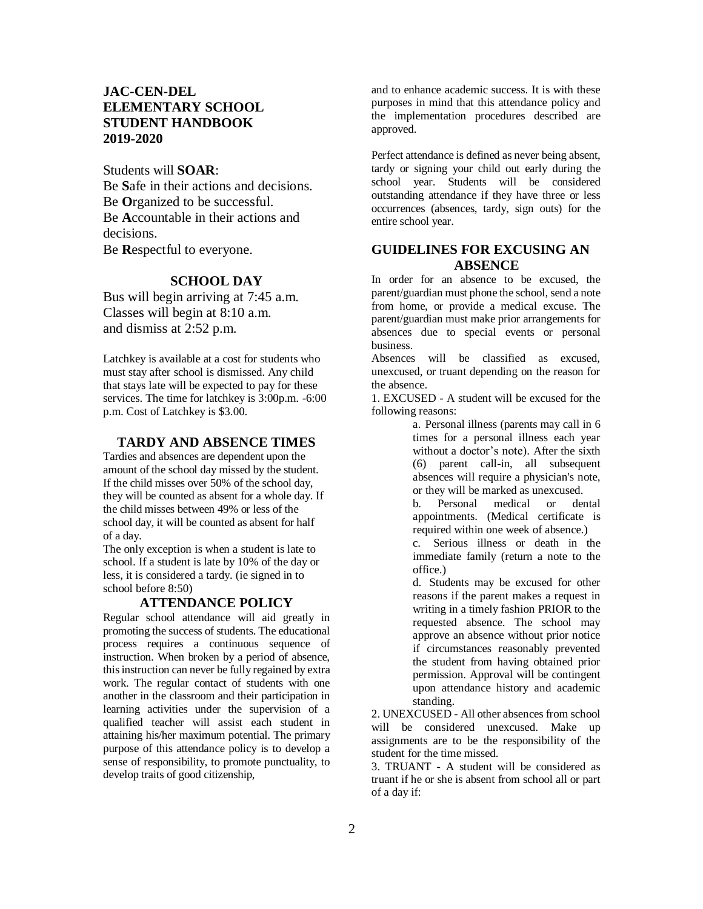# **JAC-CEN-DEL ELEMENTARY SCHOOL STUDENT HANDBOOK 2019-2020**

Students will **SOAR**: Be **S**afe in their actions and decisions. Be **O**rganized to be successful. Be **A**ccountable in their actions and decisions. Be **R**espectful to everyone.

# **SCHOOL DAY**

Bus will begin arriving at 7:45 a.m. Classes will begin at 8:10 a.m. and dismiss at 2:52 p.m.

Latchkey is available at a cost for students who must stay after school is dismissed. Any child that stays late will be expected to pay for these services. The time for latchkey is 3:00p.m. -6:00 p.m. Cost of Latchkey is \$3.00.

#### **TARDY AND ABSENCE TIMES**

Tardies and absences are dependent upon the amount of the school day missed by the student. If the child misses over 50% of the school day, they will be counted as absent for a whole day. If the child misses between 49% or less of the school day, it will be counted as absent for half of a day.

The only exception is when a student is late to school. If a student is late by 10% of the day or less, it is considered a tardy. (ie signed in to school before 8:50)

#### **ATTENDANCE POLICY**

Regular school attendance will aid greatly in promoting the success of students. The educational process requires a continuous sequence of instruction. When broken by a period of absence, this instruction can never be fully regained by extra work. The regular contact of students with one another in the classroom and their participation in learning activities under the supervision of a qualified teacher will assist each student in attaining his/her maximum potential. The primary purpose of this attendance policy is to develop a sense of responsibility, to promote punctuality, to develop traits of good citizenship,

and to enhance academic success. It is with these purposes in mind that this attendance policy and the implementation procedures described are approved.

Perfect attendance is defined as never being absent, tardy or signing your child out early during the school year. Students will be considered outstanding attendance if they have three or less occurrences (absences, tardy, sign outs) for the entire school year.

# **GUIDELINES FOR EXCUSING AN ABSENCE**

In order for an absence to be excused, the parent/guardian must phone the school, send a note from home, or provide a medical excuse. The parent/guardian must make prior arrangements for absences due to special events or personal business.

Absences will be classified as excused, unexcused, or truant depending on the reason for the absence.

1. EXCUSED - A student will be excused for the following reasons:

> a. Personal illness (parents may call in 6 times for a personal illness each year without a doctor's note). After the sixth (6) parent call-in, all subsequent absences will require a physician's note, or they will be marked as unexcused.

> b. Personal medical or dental appointments. (Medical certificate is required within one week of absence.)

> c. Serious illness or death in the immediate family (return a note to the office.)

> d. Students may be excused for other reasons if the parent makes a request in writing in a timely fashion PRIOR to the requested absence. The school may approve an absence without prior notice if circumstances reasonably prevented the student from having obtained prior permission. Approval will be contingent upon attendance history and academic standing.

2. UNEXCUSED - All other absences from school will be considered unexcused. Make up assignments are to be the responsibility of the student for the time missed.

3. TRUANT - A student will be considered as truant if he or she is absent from school all or part of a day if: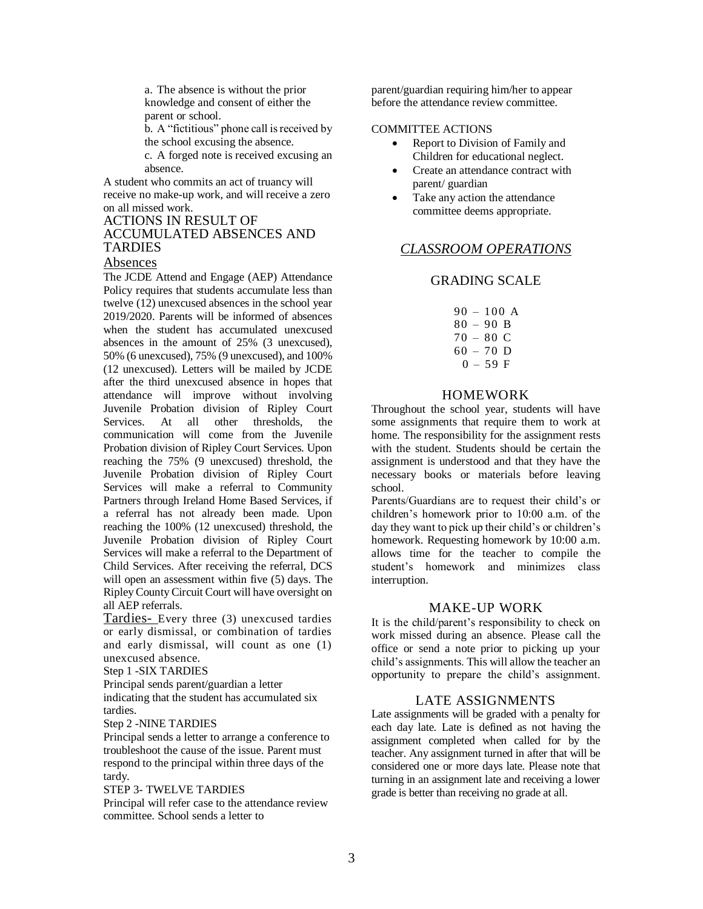a. The absence is without the prior knowledge and consent of either the parent or school.

b. A "fictitious" phone call is received by the school excusing the absence.

c. A forged note is received excusing an absence.

A student who commits an act of truancy will receive no make-up work, and will receive a zero on all missed work.

# ACTIONS IN RESULT OF ACCUMULATED ABSENCES AND TARDIES

### Absences

The JCDE Attend and Engage (AEP) Attendance Policy requires that students accumulate less than twelve (12) unexcused absences in the school year 2019/2020. Parents will be informed of absences when the student has accumulated unexcused absences in the amount of 25% (3 unexcused), 50% (6 unexcused), 75% (9 unexcused), and 100% (12 unexcused). Letters will be mailed by JCDE after the third unexcused absence in hopes that attendance will improve without involving Juvenile Probation division of Ripley Court Services. At all other thresholds, the communication will come from the Juvenile Probation division of Ripley Court Services. Upon reaching the 75% (9 unexcused) threshold, the Juvenile Probation division of Ripley Court Services will make a referral to Community Partners through Ireland Home Based Services, if a referral has not already been made. Upon reaching the 100% (12 unexcused) threshold, the Juvenile Probation division of Ripley Court Services will make a referral to the Department of Child Services. After receiving the referral, DCS will open an assessment within five (5) days. The Ripley County Circuit Court will have oversight on all AEP referrals.

Tardies- Every three (3) unexcused tardies or early dismissal, or combination of tardies and early dismissal, will count as one (1) unexcused absence.

Step 1 -SIX TARDIES

Principal sends parent/guardian a letter

indicating that the student has accumulated six tardies.

Step 2 -NINE TARDIES

Principal sends a letter to arrange a conference to troubleshoot the cause of the issue. Parent must respond to the principal within three days of the tardy.

STEP 3- TWELVE TARDIES

Principal will refer case to the attendance review committee. School sends a letter to

parent/guardian requiring him/her to appear before the attendance review committee.

#### COMMITTEE ACTIONS

- Report to Division of Family and Children for educational neglect.
- Create an attendance contract with parent/ guardian
- Take any action the attendance committee deems appropriate.

# *CLASSROOM OPERATIONS*

# GRADING SCALE

|  |             | 90 – 100 A |
|--|-------------|------------|
|  | $80 - 90 B$ |            |
|  | $70 - 80$ C |            |
|  | $60 - 70$ D |            |
|  | $0 - 59$ F  |            |

# HOMEWORK

Throughout the school year, students will have some assignments that require them to work at home. The responsibility for the assignment rests with the student. Students should be certain the assignment is understood and that they have the necessary books or materials before leaving school.

Parents/Guardians are to request their child's or children's homework prior to 10:00 a.m. of the day they want to pick up their child's or children's homework. Requesting homework by 10:00 a.m. allows time for the teacher to compile the student's homework and minimizes class interruption.

# MAKE-UP WORK

It is the child/parent's responsibility to check on work missed during an absence. Please call the office or send a note prior to picking up your child's assignments. This will allow the teacher an opportunity to prepare the child's assignment.

# LATE ASSIGNMENTS

Late assignments will be graded with a penalty for each day late. Late is defined as not having the assignment completed when called for by the teacher. Any assignment turned in after that will be considered one or more days late. Please note that turning in an assignment late and receiving a lower grade is better than receiving no grade at all.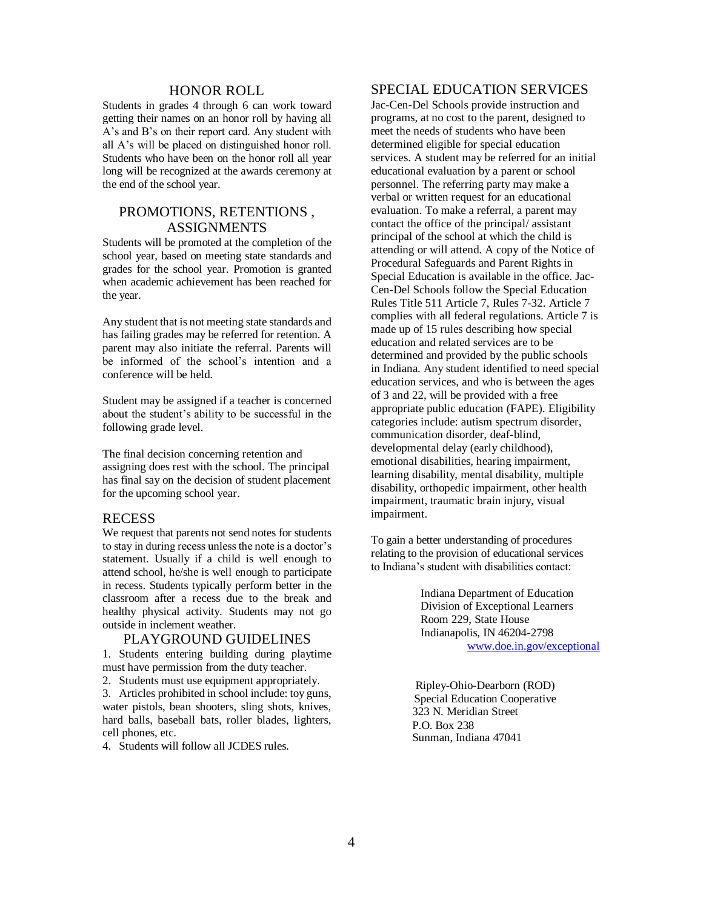#### HONOR ROLL

Students in grades 4 through 6 can work toward getting their names on an honor roll by having all A's and B's on their report card. Any student with all A's will be placed on distinguished honor roll. Students who have been on the honor roll all year long will be recognized at the awards ceremony at the end of the school year.

# PROMOTIONS, RETENTIONS , ASSIGNMENTS

Students will be promoted at the completion of the school year, based on meeting state standards and grades for the school year. Promotion is granted when academic achievement has been reached for the year.

Any student that is not meeting state standards and has failing grades may be referred for retention. A parent may also initiate the referral. Parents will be informed of the school's intention and a conference will be held.

Student may be assigned if a teacher is concerned about the student's ability to be successful in the following grade level.

The final decision concerning retention and assigning does rest with the school. The principal has final say on the decision of student placement for the upcoming school year.

#### RECESS

We request that parents not send notes for students to stay in during recess unless the note is a doctor's statement. Usually if a child is well enough to attend school, he/she is well enough to participate in recess. Students typically perform better in the classroom after a recess due to the break and healthy physical activity. Students may not go outside in inclement weather.

#### PLAYGROUND GUIDELINES

1. Students entering building during playtime must have permission from the duty teacher.

2. Students must use equipment appropriately.

3. Articles prohibited in school include: toy guns, water pistols, bean shooters, sling shots, knives, hard balls, baseball bats, roller blades, lighters, cell phones, etc.

4. Students will follow all JCDES rules.

# SPECIAL EDUCATION SERVICES

Jac-Cen-Del Schools provide instruction and programs, at no cost to the parent, designed to meet the needs of students who have been determined eligible for special education services. A student may be referred for an initial educational evaluation by a parent or school personnel. The referring party may make a verbal or written request for an educational evaluation. To make a referral, a parent may contact the office of the principal/ assistant principal of the school at which the child is attending or will attend. A copy of the Notice of Procedural Safeguards and Parent Rights in Special Education is available in the office. Jac-Cen-Del Schools follow the Special Education Rules Title 511 Article 7, Rules 7-32. Article 7 complies with all federal regulations. Article 7 is made up of 15 rules describing how special education and related services are to be determined and provided by the public schools in Indiana. Any student identified to need special education services, and who is between the ages of 3 and 22, will be provided with a free appropriate public education (FAPE). Eligibility categories include: autism spectrum disorder, communication disorder, deaf-blind, developmental delay (early childhood), emotional disabilities, hearing impairment, learning disability, mental disability, multiple disability, orthopedic impairment, other health impairment, traumatic brain injury, visual impairment.

To gain a better understanding of procedures relating to the provision of educational services to Indiana's student with disabilities contact:

> Indiana Department of Education Division of Exceptional Learners Room 229, State House Indianapolis, IN 46204-2798 [www.doe.in.gov/exceptional](http://www.doe.in.gov/exceptional)

Ripley-Ohio-Dearborn (ROD) Special Education Cooperative 323 N. Meridian Street P.O. Box 238 Sunman, Indiana 47041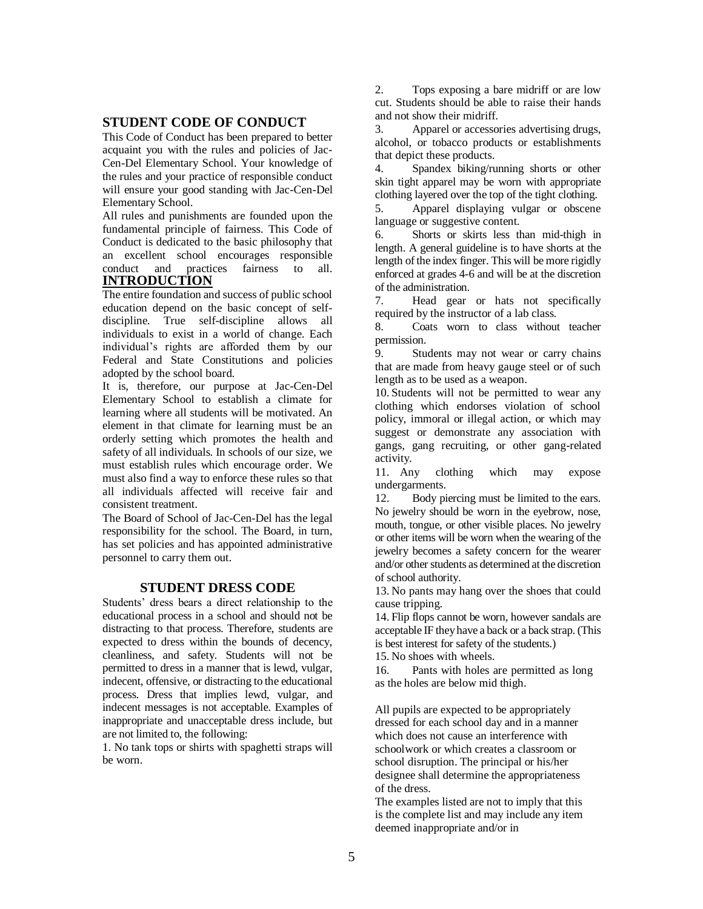# **STUDENT CODE OF CONDUCT**

This Code of Conduct has been prepared to better acquaint you with the rules and policies of Jac-Cen-Del Elementary School. Your knowledge of the rules and your practice of responsible conduct will ensure your good standing with Jac-Cen-Del Elementary School.

All rules and punishments are founded upon the fundamental principle of fairness. This Code of Conduct is dedicated to the basic philosophy that an excellent school encourages responsible conduct and practices fairness to all. **INTRODUCTION**

The entire foundation and success of public school education depend on the basic concept of selfdiscipline. True self-discipline allows all individuals to exist in a world of change. Each individual's rights are afforded them by our Federal and State Constitutions and policies adopted by the school board.

It is, therefore, our purpose at Jac-Cen-Del Elementary School to establish a climate for learning where all students will be motivated. An element in that climate for learning must be an orderly setting which promotes the health and safety of all individuals. In schools of our size, we must establish rules which encourage order. We must also find a way to enforce these rules so that all individuals affected will receive fair and consistent treatment.

The Board of School of Jac-Cen-Del has the legal responsibility for the school. The Board, in turn, has set policies and has appointed administrative personnel to carry them out.

# **STUDENT DRESS CODE**

Students' dress bears a direct relationship to the educational process in a school and should not be distracting to that process. Therefore, students are expected to dress within the bounds of decency, cleanliness, and safety. Students will not be permitted to dress in a manner that is lewd, vulgar, indecent, offensive, or distracting to the educational process. Dress that implies lewd, vulgar, and indecent messages is not acceptable. Examples of inappropriate and unacceptable dress include, but are not limited to, the following:

1. No tank tops or shirts with spaghetti straps will be worn.

2. Tops exposing a bare midriff or are low cut. Students should be able to raise their hands and not show their midriff.

3. Apparel or accessories advertising drugs, alcohol, or tobacco products or establishments that depict these products.

4. Spandex biking/running shorts or other skin tight apparel may be worn with appropriate clothing layered over the top of the tight clothing.

5. Apparel displaying vulgar or obscene language or suggestive content.

6. Shorts or skirts less than mid-thigh in length. A general guideline is to have shorts at the length of the index finger. This will be more rigidly enforced at grades 4-6 and will be at the discretion of the administration.

7. Head gear or hats not specifically required by the instructor of a lab class.

8. Coats worn to class without teacher permission.

9. Students may not wear or carry chains that are made from heavy gauge steel or of such length as to be used as a weapon.

10. Students will not be permitted to wear any clothing which endorses violation of school policy, immoral or illegal action, or which may suggest or demonstrate any association with gangs, gang recruiting, or other gang-related activity.

11. Any clothing which may expose undergarments.

12. Body piercing must be limited to the ears. No jewelry should be worn in the eyebrow, nose, mouth, tongue, or other visible places. No jewelry or other items will be worn when the wearing of the jewelry becomes a safety concern for the wearer and/or other students as determined at the discretion of school authority.

13. No pants may hang over the shoes that could cause tripping.

14. Flip flops cannot be worn, however sandals are acceptable IF they have a back or a back strap. (This is best interest for safety of the students.)

15. No shoes with wheels.

16. Pants with holes are permitted as long as the holes are below mid thigh.

All pupils are expected to be appropriately dressed for each school day and in a manner which does not cause an interference with schoolwork or which creates a classroom or school disruption. The principal or his/her designee shall determine the appropriateness of the dress.

The examples listed are not to imply that this is the complete list and may include any item deemed inappropriate and/or in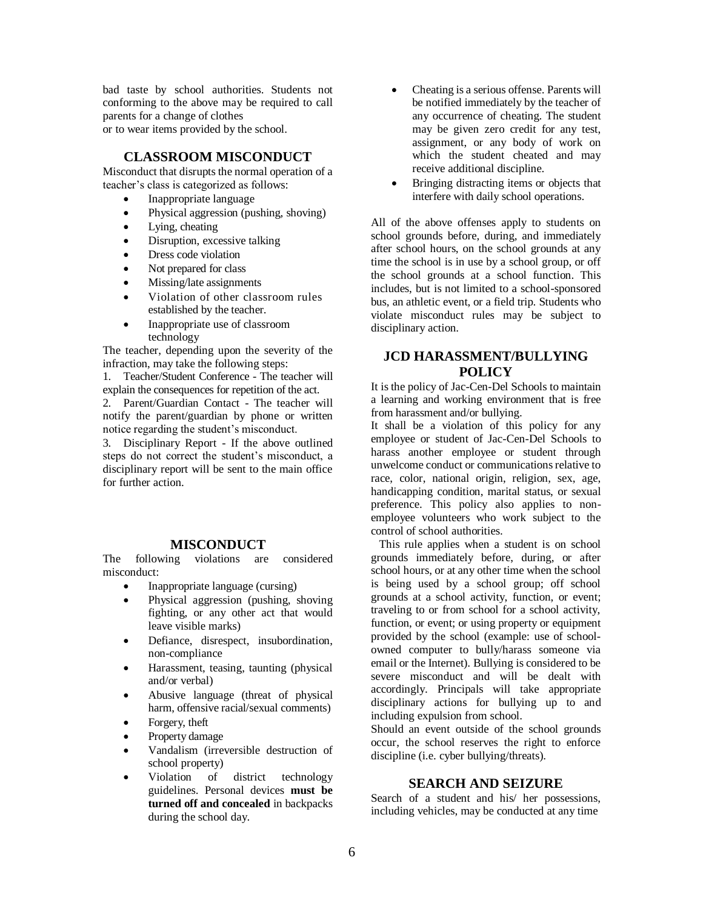bad taste by school authorities. Students not conforming to the above may be required to call parents for a change of clothes or to wear items provided by the school.

# **CLASSROOM MISCONDUCT**

Misconduct that disrupts the normal operation of a teacher's class is categorized as follows:

- Inappropriate language
- Physical aggression (pushing, shoving)
- Lying, cheating
- Disruption, excessive talking
- Dress code violation
- Not prepared for class
- Missing/late assignments
- Violation of other classroom rules established by the teacher.
- Inappropriate use of classroom technology

The teacher, depending upon the severity of the infraction, may take the following steps:

1. Teacher/Student Conference - The teacher will explain the consequences for repetition of the act.

2. Parent/Guardian Contact - The teacher will notify the parent/guardian by phone or written notice regarding the student's misconduct.

3. Disciplinary Report - If the above outlined steps do not correct the student's misconduct, a disciplinary report will be sent to the main office for further action.

# **MISCONDUCT**

The following violations are considered misconduct:

- Inappropriate language (cursing)
- Physical aggression (pushing, shoving fighting, or any other act that would leave visible marks)
- Defiance, disrespect, insubordination, non-compliance
- Harassment, teasing, taunting (physical and/or verbal)
- Abusive language (threat of physical harm, offensive racial/sexual comments)
- Forgery, theft
- Property damage
- Vandalism (irreversible destruction of school property)
- Violation of district technology guidelines. Personal devices **must be turned off and concealed** in backpacks during the school day.
- Cheating is a serious offense. Parents will be notified immediately by the teacher of any occurrence of cheating. The student may be given zero credit for any test, assignment, or any body of work on which the student cheated and may receive additional discipline.
- Bringing distracting items or objects that interfere with daily school operations.

All of the above offenses apply to students on school grounds before, during, and immediately after school hours, on the school grounds at any time the school is in use by a school group, or off the school grounds at a school function. This includes, but is not limited to a school-sponsored bus, an athletic event, or a field trip. Students who violate misconduct rules may be subject to disciplinary action.

# **JCD HARASSMENT/BULLYING POLICY**

It is the policy of Jac-Cen-Del Schools to maintain a learning and working environment that is free from harassment and/or bullying.

It shall be a violation of this policy for any employee or student of Jac-Cen-Del Schools to harass another employee or student through unwelcome conduct or communications relative to race, color, national origin, religion, sex, age, handicapping condition, marital status, or sexual preference. This policy also applies to nonemployee volunteers who work subject to the control of school authorities.

This rule applies when a student is on school grounds immediately before, during, or after school hours, or at any other time when the school is being used by a school group; off school grounds at a school activity, function, or event; traveling to or from school for a school activity, function, or event; or using property or equipment provided by the school (example: use of schoolowned computer to bully/harass someone via email or the Internet). Bullying is considered to be severe misconduct and will be dealt with accordingly. Principals will take appropriate disciplinary actions for bullying up to and including expulsion from school.

Should an event outside of the school grounds occur, the school reserves the right to enforce discipline (i.e. cyber bullying/threats).

#### **SEARCH AND SEIZURE**

Search of a student and his/ her possessions, including vehicles, may be conducted at any time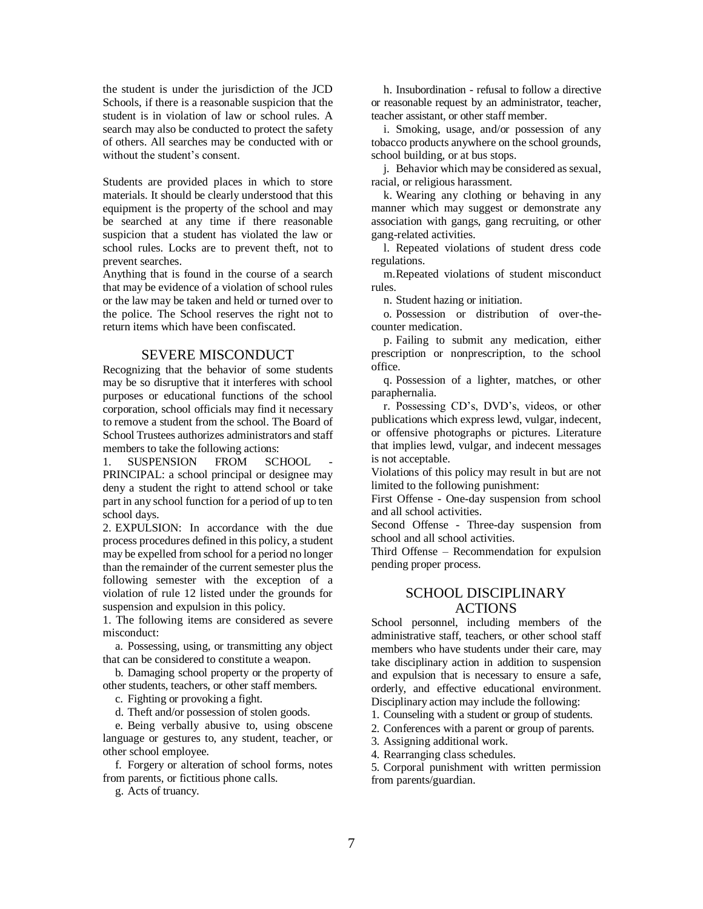the student is under the jurisdiction of the JCD Schools, if there is a reasonable suspicion that the student is in violation of law or school rules. A search may also be conducted to protect the safety of others. All searches may be conducted with or without the student's consent.

Students are provided places in which to store materials. It should be clearly understood that this equipment is the property of the school and may be searched at any time if there reasonable suspicion that a student has violated the law or school rules. Locks are to prevent theft, not to prevent searches.

Anything that is found in the course of a search that may be evidence of a violation of school rules or the law may be taken and held or turned over to the police. The School reserves the right not to return items which have been confiscated.

# SEVERE MISCONDUCT

Recognizing that the behavior of some students may be so disruptive that it interferes with school purposes or educational functions of the school corporation, school officials may find it necessary to remove a student from the school. The Board of School Trustees authorizes administrators and staff members to take the following actions:

1. SUSPENSION FROM SCHOOL PRINCIPAL: a school principal or designee may deny a student the right to attend school or take part in any school function for a period of up to ten school days.

2. EXPULSION: In accordance with the due process procedures defined in this policy, a student may be expelled from school for a period no longer than the remainder of the current semester plus the following semester with the exception of a violation of rule 12 listed under the grounds for suspension and expulsion in this policy.

1. The following items are considered as severe misconduct:

a. Possessing, using, or transmitting any object that can be considered to constitute a weapon.

b. Damaging school property or the property of other students, teachers, or other staff members.

c. Fighting or provoking a fight.

d. Theft and/or possession of stolen goods.

e. Being verbally abusive to, using obscene language or gestures to, any student, teacher, or other school employee.

f. Forgery or alteration of school forms, notes from parents, or fictitious phone calls.

g. Acts of truancy.

h. Insubordination - refusal to follow a directive or reasonable request by an administrator, teacher, teacher assistant, or other staff member.

i. Smoking, usage, and/or possession of any tobacco products anywhere on the school grounds, school building, or at bus stops.

j. Behavior which may be considered as sexual, racial, or religious harassment.

k. Wearing any clothing or behaving in any manner which may suggest or demonstrate any association with gangs, gang recruiting, or other gang-related activities.

l. Repeated violations of student dress code regulations.

m.Repeated violations of student misconduct rules.

n. Student hazing or initiation.

o. Possession or distribution of over-thecounter medication.

p. Failing to submit any medication, either prescription or nonprescription, to the school office.

q. Possession of a lighter, matches, or other paraphernalia.

r. Possessing CD's, DVD's, videos, or other publications which express lewd, vulgar, indecent, or offensive photographs or pictures. Literature that implies lewd, vulgar, and indecent messages is not acceptable.

Violations of this policy may result in but are not limited to the following punishment:

First Offense - One-day suspension from school and all school activities.

Second Offense - Three-day suspension from school and all school activities.

Third Offense – Recommendation for expulsion pending proper process.

# SCHOOL DISCIPLINARY ACTIONS

School personnel, including members of the administrative staff, teachers, or other school staff members who have students under their care, may take disciplinary action in addition to suspension and expulsion that is necessary to ensure a safe, orderly, and effective educational environment. Disciplinary action may include the following:

1. Counseling with a student or group of students.

2. Conferences with a parent or group of parents.

3. Assigning additional work.

4. Rearranging class schedules.

5. Corporal punishment with written permission from parents/guardian.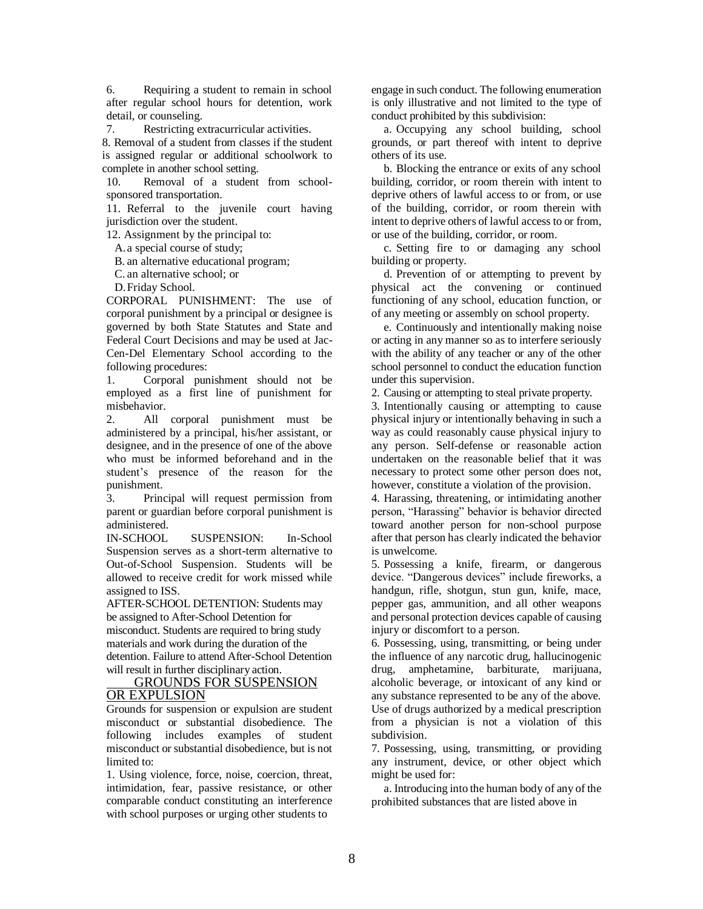6. Requiring a student to remain in school after regular school hours for detention, work detail, or counseling.

7. Restricting extracurricular activities.

8. Removal of a student from classes if the student is assigned regular or additional schoolwork to complete in another school setting.

10. Removal of a student from schoolsponsored transportation.

11. Referral to the juvenile court having jurisdiction over the student.

12. Assignment by the principal to:

A.a special course of study;

B. an alternative educational program;

C. an alternative school; or

D.Friday School.

CORPORAL PUNISHMENT: The use of corporal punishment by a principal or designee is governed by both State Statutes and State and Federal Court Decisions and may be used at Jac-Cen-Del Elementary School according to the following procedures:

1. Corporal punishment should not be employed as a first line of punishment for misbehavior.

2. All corporal punishment must be administered by a principal, his/her assistant, or designee, and in the presence of one of the above who must be informed beforehand and in the student's presence of the reason for the punishment.

3. Principal will request permission from parent or guardian before corporal punishment is administered.

IN-SCHOOL SUSPENSION: In-School Suspension serves as a short-term alternative to Out-of-School Suspension. Students will be allowed to receive credit for work missed while assigned to ISS.

AFTER-SCHOOL DETENTION: Students may be assigned to After-School Detention for misconduct. Students are required to bring study materials and work during the duration of the detention. Failure to attend After-School Detention will result in further disciplinary action.

#### GROUNDS FOR SUSPENSION OR EXPULSION

Grounds for suspension or expulsion are student misconduct or substantial disobedience. The following includes examples of student misconduct or substantial disobedience, but is not limited to:

1. Using violence, force, noise, coercion, threat, intimidation, fear, passive resistance, or other comparable conduct constituting an interference with school purposes or urging other students to

engage in such conduct. The following enumeration is only illustrative and not limited to the type of conduct prohibited by this subdivision:

a. Occupying any school building, school grounds, or part thereof with intent to deprive others of its use.

b. Blocking the entrance or exits of any school building, corridor, or room therein with intent to deprive others of lawful access to or from, or use of the building, corridor, or room therein with intent to deprive others of lawful access to or from, or use of the building, corridor, or room.

c. Setting fire to or damaging any school building or property.

d. Prevention of or attempting to prevent by physical act the convening or continued functioning of any school, education function, or of any meeting or assembly on school property.

e. Continuously and intentionally making noise or acting in any manner so as to interfere seriously with the ability of any teacher or any of the other school personnel to conduct the education function under this supervision.

2. Causing or attempting to steal private property.

3. Intentionally causing or attempting to cause physical injury or intentionally behaving in such a way as could reasonably cause physical injury to any person. Self-defense or reasonable action undertaken on the reasonable belief that it was necessary to protect some other person does not, however, constitute a violation of the provision.

4. Harassing, threatening, or intimidating another person, "Harassing" behavior is behavior directed toward another person for non-school purpose after that person has clearly indicated the behavior is unwelcome.

5. Possessing a knife, firearm, or dangerous device. "Dangerous devices" include fireworks, a handgun, rifle, shotgun, stun gun, knife, mace, pepper gas, ammunition, and all other weapons and personal protection devices capable of causing injury or discomfort to a person.

6. Possessing, using, transmitting, or being under the influence of any narcotic drug, hallucinogenic drug, amphetamine, barbiturate, marijuana, alcoholic beverage, or intoxicant of any kind or any substance represented to be any of the above. Use of drugs authorized by a medical prescription from a physician is not a violation of this subdivision.

7. Possessing, using, transmitting, or providing any instrument, device, or other object which might be used for:

a. Introducing into the human body of any of the prohibited substances that are listed above in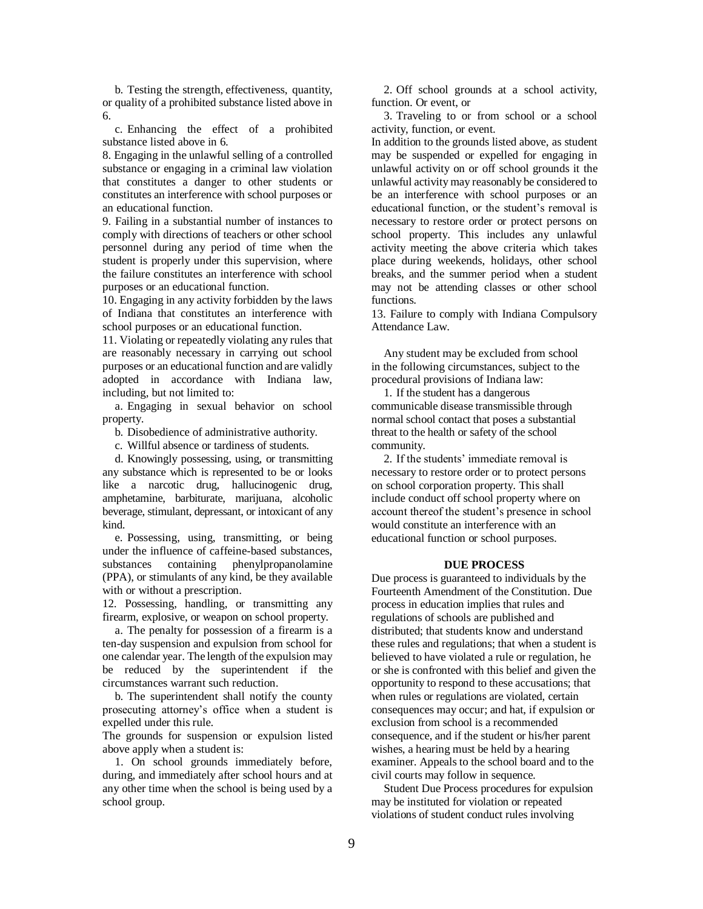b. Testing the strength, effectiveness, quantity, or quality of a prohibited substance listed above in 6.

c. Enhancing the effect of a prohibited substance listed above in 6.

8. Engaging in the unlawful selling of a controlled substance or engaging in a criminal law violation that constitutes a danger to other students or constitutes an interference with school purposes or an educational function.

9. Failing in a substantial number of instances to comply with directions of teachers or other school personnel during any period of time when the student is properly under this supervision, where the failure constitutes an interference with school purposes or an educational function.

10. Engaging in any activity forbidden by the laws of Indiana that constitutes an interference with school purposes or an educational function.

11. Violating or repeatedly violating any rules that are reasonably necessary in carrying out school purposes or an educational function and are validly adopted in accordance with Indiana law, including, but not limited to:

a. Engaging in sexual behavior on school property.

b. Disobedience of administrative authority.

c. Willful absence or tardiness of students.

d. Knowingly possessing, using, or transmitting any substance which is represented to be or looks like a narcotic drug, hallucinogenic drug, amphetamine, barbiturate, marijuana, alcoholic beverage, stimulant, depressant, or intoxicant of any kind.

e. Possessing, using, transmitting, or being under the influence of caffeine-based substances, substances containing phenylpropanolamine (PPA), or stimulants of any kind, be they available with or without a prescription.

12. Possessing, handling, or transmitting any firearm, explosive, or weapon on school property.

a. The penalty for possession of a firearm is a ten-day suspension and expulsion from school for one calendar year. The length of the expulsion may be reduced by the superintendent if the circumstances warrant such reduction.

b. The superintendent shall notify the county prosecuting attorney's office when a student is expelled under this rule.

The grounds for suspension or expulsion listed above apply when a student is:

1. On school grounds immediately before, during, and immediately after school hours and at any other time when the school is being used by a school group.

2. Off school grounds at a school activity, function. Or event, or

3. Traveling to or from school or a school activity, function, or event.

In addition to the grounds listed above, as student may be suspended or expelled for engaging in unlawful activity on or off school grounds it the unlawful activity may reasonably be considered to be an interference with school purposes or an educational function, or the student's removal is necessary to restore order or protect persons on school property. This includes any unlawful activity meeting the above criteria which takes place during weekends, holidays, other school breaks, and the summer period when a student may not be attending classes or other school functions.

13. Failure to comply with Indiana Compulsory Attendance Law.

Any student may be excluded from school in the following circumstances, subject to the procedural provisions of Indiana law:

1. If the student has a dangerous communicable disease transmissible through normal school contact that poses a substantial threat to the health or safety of the school community.

2. If the students' immediate removal is necessary to restore order or to protect persons on school corporation property. This shall include conduct off school property where on account thereof the student's presence in school would constitute an interference with an educational function or school purposes.

#### **DUE PROCESS**

Due process is guaranteed to individuals by the Fourteenth Amendment of the Constitution. Due process in education implies that rules and regulations of schools are published and distributed; that students know and understand these rules and regulations; that when a student is believed to have violated a rule or regulation, he or she is confronted with this belief and given the opportunity to respond to these accusations; that when rules or regulations are violated, certain consequences may occur; and hat, if expulsion or exclusion from school is a recommended consequence, and if the student or his/her parent wishes, a hearing must be held by a hearing examiner. Appeals to the school board and to the civil courts may follow in sequence.

Student Due Process procedures for expulsion may be instituted for violation or repeated violations of student conduct rules involving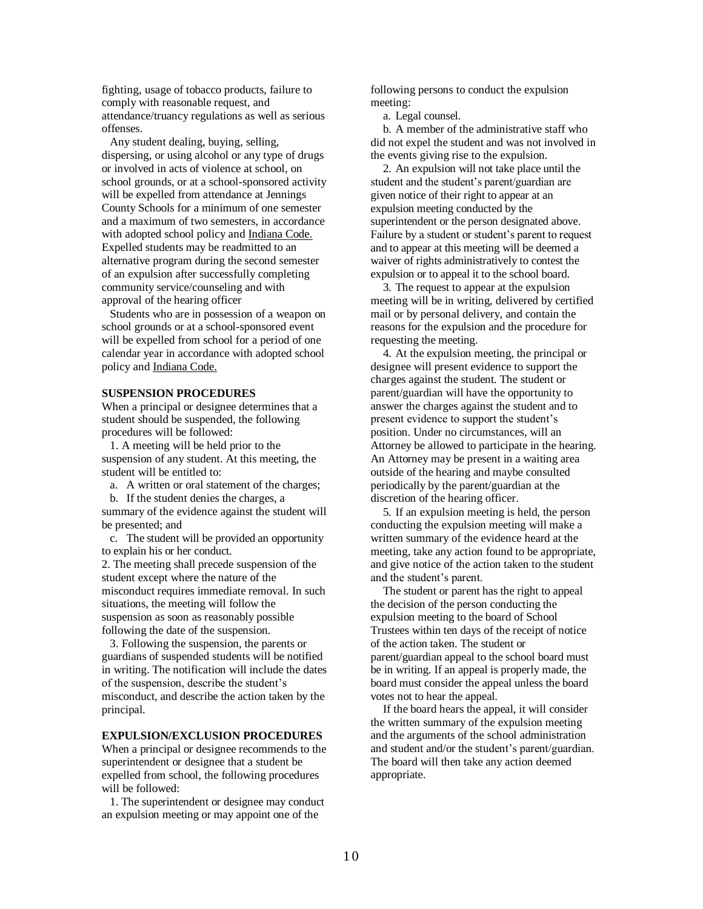fighting, usage of tobacco products, failure to comply with reasonable request, and attendance/truancy regulations as well as serious offenses.

Any student dealing, buying, selling, dispersing, or using alcohol or any type of drugs or involved in acts of violence at school, on school grounds, or at a school-sponsored activity will be expelled from attendance at Jennings County Schools for a minimum of one semester and a maximum of two semesters, in accordance with adopted school policy and Indiana Code. Expelled students may be readmitted to an alternative program during the second semester of an expulsion after successfully completing community service/counseling and with approval of the hearing officer

Students who are in possession of a weapon on school grounds or at a school-sponsored event will be expelled from school for a period of one calendar year in accordance with adopted school policy and Indiana Code.

#### **SUSPENSION PROCEDURES**

When a principal or designee determines that a student should be suspended, the following procedures will be followed:

1. A meeting will be held prior to the suspension of any student. At this meeting, the student will be entitled to:

a. A written or oral statement of the charges;

b. If the student denies the charges, a

summary of the evidence against the student will be presented; and

c. The student will be provided an opportunity to explain his or her conduct.

2. The meeting shall precede suspension of the student except where the nature of the misconduct requires immediate removal. In such situations, the meeting will follow the suspension as soon as reasonably possible following the date of the suspension.

3. Following the suspension, the parents or guardians of suspended students will be notified in writing. The notification will include the dates of the suspension, describe the student's misconduct, and describe the action taken by the principal.

#### **EXPULSION/EXCLUSION PROCEDURES**

When a principal or designee recommends to the superintendent or designee that a student be expelled from school, the following procedures will be followed:

1. The superintendent or designee may conduct an expulsion meeting or may appoint one of the

following persons to conduct the expulsion meeting:

a. Legal counsel.

b. A member of the administrative staff who did not expel the student and was not involved in the events giving rise to the expulsion.

2. An expulsion will not take place until the student and the student's parent/guardian are given notice of their right to appear at an expulsion meeting conducted by the superintendent or the person designated above. Failure by a student or student's parent to request and to appear at this meeting will be deemed a waiver of rights administratively to contest the expulsion or to appeal it to the school board.

3. The request to appear at the expulsion meeting will be in writing, delivered by certified mail or by personal delivery, and contain the reasons for the expulsion and the procedure for requesting the meeting.

4. At the expulsion meeting, the principal or designee will present evidence to support the charges against the student. The student or parent/guardian will have the opportunity to answer the charges against the student and to present evidence to support the student's position. Under no circumstances, will an Attorney be allowed to participate in the hearing. An Attorney may be present in a waiting area outside of the hearing and maybe consulted periodically by the parent/guardian at the discretion of the hearing officer.

5. If an expulsion meeting is held, the person conducting the expulsion meeting will make a written summary of the evidence heard at the meeting, take any action found to be appropriate, and give notice of the action taken to the student and the student's parent.

The student or parent has the right to appeal the decision of the person conducting the expulsion meeting to the board of School Trustees within ten days of the receipt of notice of the action taken. The student or parent/guardian appeal to the school board must be in writing. If an appeal is properly made, the board must consider the appeal unless the board votes not to hear the appeal.

If the board hears the appeal, it will consider the written summary of the expulsion meeting and the arguments of the school administration and student and/or the student's parent/guardian. The board will then take any action deemed appropriate.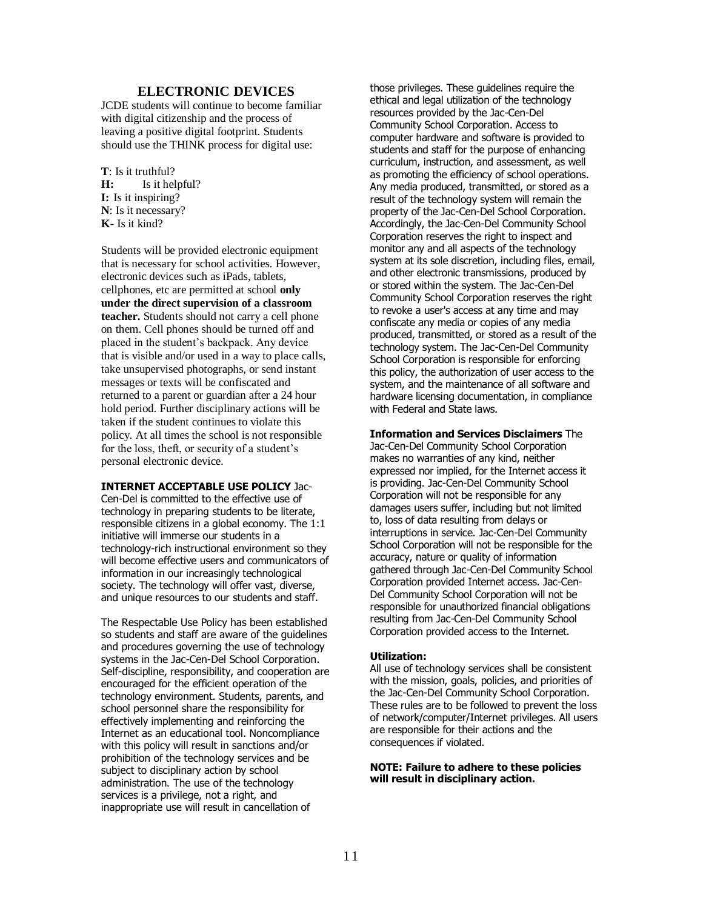#### **ELECTRONIC DEVICES**

JCDE students will continue to become familiar with digital citizenship and the process of leaving a positive digital footprint. Students should use the THINK process for digital use:

**T**: Is it truthful? **H:** Is it helpful? **I:** Is it inspiring? **N**: Is it necessary? **K**- Is it kind?

Students will be provided electronic equipment that is necessary for school activities. However, electronic devices such as iPads, tablets, cellphones, etc are permitted at school **only under the direct supervision of a classroom teacher.** Students should not carry a cell phone on them. Cell phones should be turned off and placed in the student's backpack. Any device that is visible and/or used in a way to place calls, take unsupervised photographs, or send instant messages or texts will be confiscated and returned to a parent or guardian after a 24 hour hold period. Further disciplinary actions will be taken if the student continues to violate this policy. At all times the school is not responsible for the loss, theft, or security of a student's personal electronic device.

# **INTERNET ACCEPTABLE USE POLICY** Jac-

Cen-Del is committed to the effective use of technology in preparing students to be literate, responsible citizens in a global economy. The 1:1 initiative will immerse our students in a technology-rich instructional environment so they will become effective users and communicators of information in our increasingly technological society. The technology will offer vast, diverse, and unique resources to our students and staff.

The Respectable Use Policy has been established so students and staff are aware of the guidelines and procedures governing the use of technology systems in the Jac-Cen-Del School Corporation. Self-discipline, responsibility, and cooperation are encouraged for the efficient operation of the technology environment. Students, parents, and school personnel share the responsibility for effectively implementing and reinforcing the Internet as an educational tool. Noncompliance with this policy will result in sanctions and/or prohibition of the technology services and be subject to disciplinary action by school administration. The use of the technology services is a privilege, not a right, and inappropriate use will result in cancellation of

those privileges. These guidelines require the ethical and legal utilization of the technology resources provided by the Jac-Cen-Del Community School Corporation. Access to computer hardware and software is provided to students and staff for the purpose of enhancing curriculum, instruction, and assessment, as well as promoting the efficiency of school operations. Any media produced, transmitted, or stored as a result of the technology system will remain the property of the Jac-Cen-Del School Corporation. Accordingly, the Jac-Cen-Del Community School Corporation reserves the right to inspect and monitor any and all aspects of the technology system at its sole discretion, including files, email, and other electronic transmissions, produced by or stored within the system. The Jac-Cen-Del Community School Corporation reserves the right to revoke a user's access at any time and may confiscate any media or copies of any media produced, transmitted, or stored as a result of the technology system. The Jac-Cen-Del Community School Corporation is responsible for enforcing this policy, the authorization of user access to the system, and the maintenance of all software and hardware licensing documentation, in compliance with Federal and State laws.

**Information and Services Disclaimers** The

Jac-Cen-Del Community School Corporation makes no warranties of any kind, neither expressed nor implied, for the Internet access it is providing. Jac-Cen-Del Community School Corporation will not be responsible for any damages users suffer, including but not limited to, loss of data resulting from delays or interruptions in service. Jac-Cen-Del Community School Corporation will not be responsible for the accuracy, nature or quality of information gathered through Jac-Cen-Del Community School Corporation provided Internet access. Jac-Cen-Del Community School Corporation will not be responsible for unauthorized financial obligations resulting from Jac-Cen-Del Community School Corporation provided access to the Internet.

#### **Utilization:**

All use of technology services shall be consistent with the mission, goals, policies, and priorities of the Jac-Cen-Del Community School Corporation. These rules are to be followed to prevent the loss of network/computer/Internet privileges. All users are responsible for their actions and the consequences if violated.

#### **NOTE: Failure to adhere to these policies will result in disciplinary action.**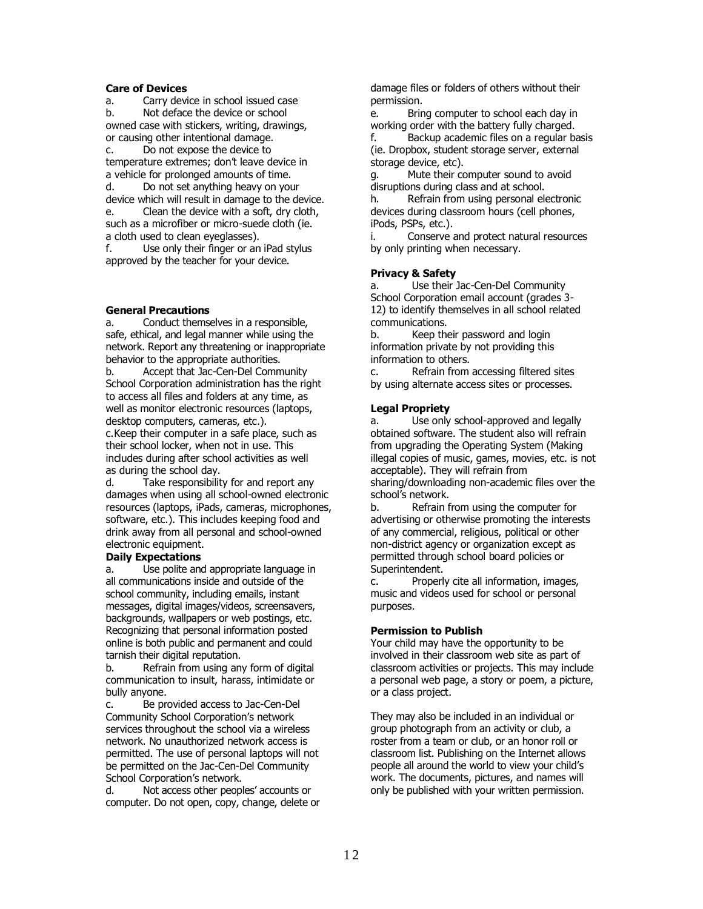#### **Care of Devices**

a. Carry device in school issued case b. Not deface the device or school owned case with stickers, writing, drawings, or causing other intentional damage.

c. Do not expose the device to temperature extremes; don't leave device in a vehicle for prolonged amounts of time.

d. Do not set anything heavy on your device which will result in damage to the device. e. Clean the device with a soft, dry cloth, such as a microfiber or micro-suede cloth (ie. a cloth used to clean eyeglasses).

f. Use only their finger or an iPad stylus approved by the teacher for your device.

# **General Precautions**

a. Conduct themselves in a responsible, safe, ethical, and legal manner while using the network. Report any threatening or inappropriate behavior to the appropriate authorities.

b. Accept that Jac-Cen-Del Community School Corporation administration has the right to access all files and folders at any time, as well as monitor electronic resources (laptops, desktop computers, cameras, etc.).

c.Keep their computer in a safe place, such as their school locker, when not in use. This includes during after school activities as well as during the school day.

d. Take responsibility for and report any damages when using all school-owned electronic resources (laptops, iPads, cameras, microphones, software, etc.). This includes keeping food and drink away from all personal and school-owned electronic equipment.

#### **Daily Expectations**

a. Use polite and appropriate language in all communications inside and outside of the school community, including emails, instant messages, digital images/videos, screensavers, backgrounds, wallpapers or web postings, etc. Recognizing that personal information posted online is both public and permanent and could tarnish their digital reputation.

b. Refrain from using any form of digital communication to insult, harass, intimidate or bully anyone.

c. Be provided access to Jac-Cen-Del Community School Corporation's network services throughout the school via a wireless network. No unauthorized network access is permitted. The use of personal laptops will not be permitted on the Jac-Cen-Del Community School Corporation's network.

d. Not access other peoples' accounts or computer. Do not open, copy, change, delete or damage files or folders of others without their permission.

e. Bring computer to school each day in working order with the battery fully charged.

f. Backup academic files on a regular basis (ie. Dropbox, student storage server, external storage device, etc).

g. Mute their computer sound to avoid disruptions during class and at school.

h. Refrain from using personal electronic devices during classroom hours (cell phones, iPods, PSPs, etc.).

i. Conserve and protect natural resources by only printing when necessary.

# **Privacy & Safety**

a. Use their Jac-Cen-Del Community School Corporation email account (grades 3- 12) to identify themselves in all school related communications.

b. Keep their password and login information private by not providing this information to others.

c. Refrain from accessing filtered sites by using alternate access sites or processes.

# **Legal Propriety**

a. Use only school-approved and legally obtained software. The student also will refrain from upgrading the Operating System (Making illegal copies of music, games, movies, etc. is not acceptable). They will refrain from sharing/downloading non-academic files over the

school's network.

b. Refrain from using the computer for advertising or otherwise promoting the interests of any commercial, religious, political or other non-district agency or organization except as permitted through school board policies or Superintendent.

c. Properly cite all information, images, music and videos used for school or personal purposes.

# **Permission to Publish**

Your child may have the opportunity to be involved in their classroom web site as part of classroom activities or projects. This may include a personal web page, a story or poem, a picture, or a class project.

They may also be included in an individual or group photograph from an activity or club, a roster from a team or club, or an honor roll or classroom list. Publishing on the Internet allows people all around the world to view your child's work. The documents, pictures, and names will only be published with your written permission.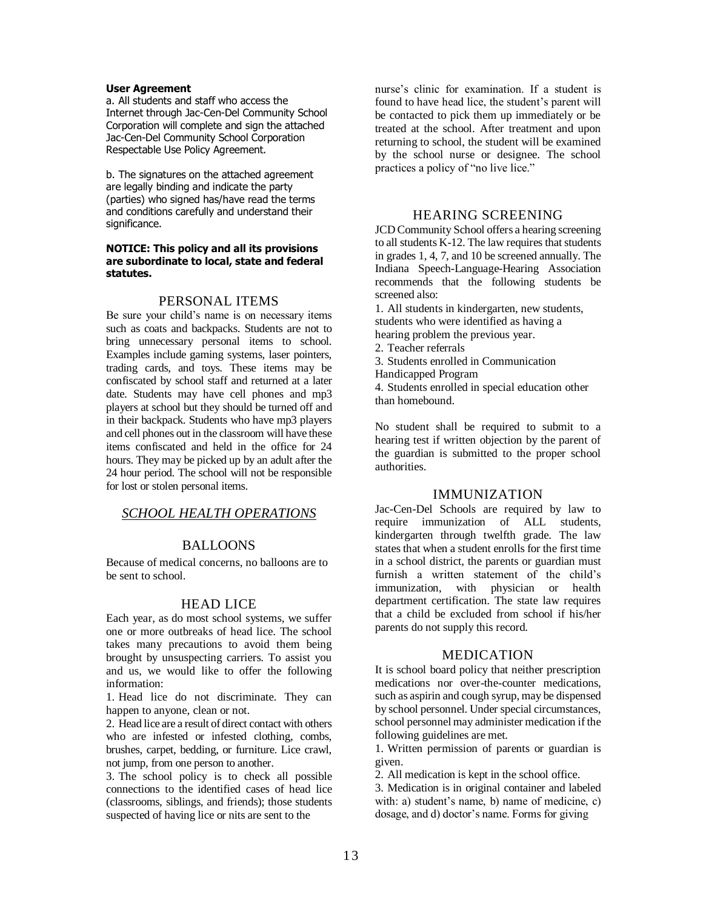#### **User Agreement**

a. All students and staff who access the Internet through Jac-Cen-Del Community School Corporation will complete and sign the attached Jac-Cen-Del Community School Corporation Respectable Use Policy Agreement.

b. The signatures on the attached agreement are legally binding and indicate the party (parties) who signed has/have read the terms and conditions carefully and understand their significance.

#### **NOTICE: This policy and all its provisions are subordinate to local, state and federal statutes.**

#### PERSONAL ITEMS

Be sure your child's name is on necessary items such as coats and backpacks. Students are not to bring unnecessary personal items to school. Examples include gaming systems, laser pointers, trading cards, and toys. These items may be confiscated by school staff and returned at a later date. Students may have cell phones and mp3 players at school but they should be turned off and in their backpack. Students who have mp3 players and cell phones out in the classroom will have these items confiscated and held in the office for 24 hours. They may be picked up by an adult after the 24 hour period. The school will not be responsible for lost or stolen personal items.

# *SCHOOL HEALTH OPERATIONS*

# BALLOONS

Because of medical concerns, no balloons are to be sent to school.

#### HEAD LICE

Each year, as do most school systems, we suffer one or more outbreaks of head lice. The school takes many precautions to avoid them being brought by unsuspecting carriers. To assist you and us, we would like to offer the following information:

1. Head lice do not discriminate. They can happen to anyone, clean or not.

2. Head lice are a result of direct contact with others who are infested or infested clothing, combs, brushes, carpet, bedding, or furniture. Lice crawl, not jump, from one person to another.

3. The school policy is to check all possible connections to the identified cases of head lice (classrooms, siblings, and friends); those students suspected of having lice or nits are sent to the

nurse's clinic for examination. If a student is found to have head lice, the student's parent will be contacted to pick them up immediately or be treated at the school. After treatment and upon returning to school, the student will be examined by the school nurse or designee. The school practices a policy of "no live lice."

# HEARING SCREENING

JCD Community School offers a hearing screening to all students K-12. The law requires that students in grades 1, 4, 7, and 10 be screened annually. The Indiana Speech-Language-Hearing Association recommends that the following students be screened also:

1. All students in kindergarten, new students, students who were identified as having a hearing problem the previous year.

- 2. Teacher referrals
- 3. Students enrolled in Communication
- Handicapped Program

4. Students enrolled in special education other than homebound.

No student shall be required to submit to a hearing test if written objection by the parent of the guardian is submitted to the proper school authorities.

# IMMUNIZATION

Jac-Cen-Del Schools are required by law to require immunization of ALL students, kindergarten through twelfth grade. The law states that when a student enrolls for the first time in a school district, the parents or guardian must furnish a written statement of the child's immunization, with physician or health department certification. The state law requires that a child be excluded from school if his/her parents do not supply this record.

### MEDICATION

It is school board policy that neither prescription medications nor over-the-counter medications, such as aspirin and cough syrup, may be dispensed by school personnel. Under special circumstances, school personnel may administer medication if the following guidelines are met.

1. Written permission of parents or guardian is given.

2. All medication is kept in the school office.

3. Medication is in original container and labeled with: a) student's name, b) name of medicine, c) dosage, and d) doctor's name. Forms for giving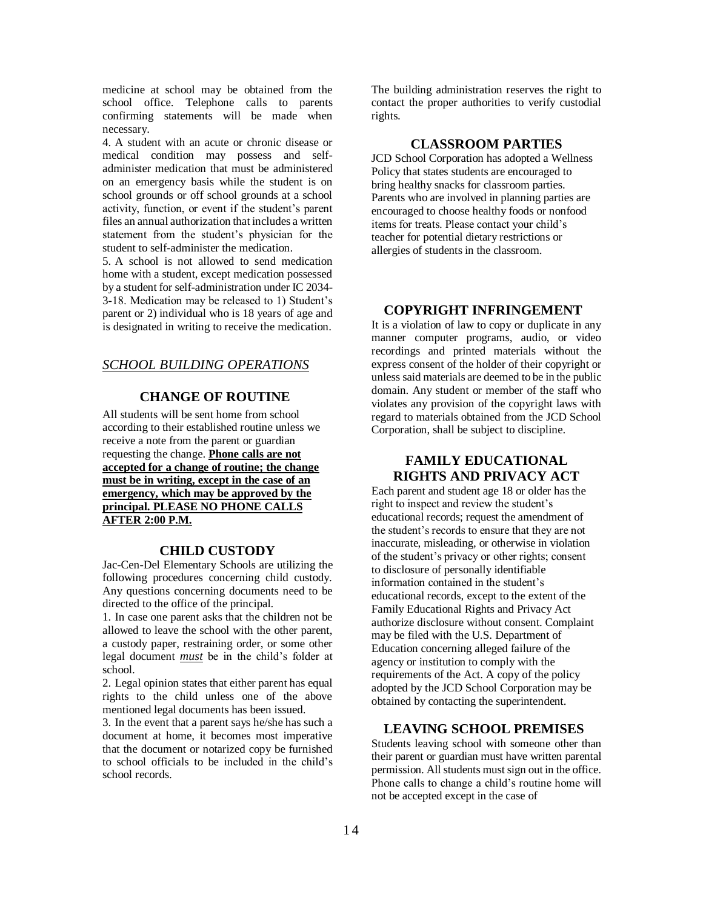medicine at school may be obtained from the school office. Telephone calls to parents confirming statements will be made when necessary.

4. A student with an acute or chronic disease or medical condition may possess and selfadminister medication that must be administered on an emergency basis while the student is on school grounds or off school grounds at a school activity, function, or event if the student's parent files an annual authorization that includes a written statement from the student's physician for the student to self-administer the medication.

5. A school is not allowed to send medication home with a student, except medication possessed by a student for self-administration under IC 2034- 3-18. Medication may be released to 1) Student's parent or 2) individual who is 18 years of age and is designated in writing to receive the medication.

#### *SCHOOL BUILDING OPERATIONS*

# **CHANGE OF ROUTINE**

All students will be sent home from school according to their established routine unless we receive a note from the parent or guardian requesting the change. **Phone calls are not accepted for a change of routine; the change must be in writing, except in the case of an emergency, which may be approved by the principal. PLEASE NO PHONE CALLS AFTER 2:00 P.M.** 

#### **CHILD CUSTODY**

Jac-Cen-Del Elementary Schools are utilizing the following procedures concerning child custody. Any questions concerning documents need to be directed to the office of the principal.

1. In case one parent asks that the children not be allowed to leave the school with the other parent, a custody paper, restraining order, or some other legal document *must* be in the child's folder at school.

2. Legal opinion states that either parent has equal rights to the child unless one of the above mentioned legal documents has been issued.

3. In the event that a parent says he/she has such a document at home, it becomes most imperative that the document or notarized copy be furnished to school officials to be included in the child's school records.

The building administration reserves the right to contact the proper authorities to verify custodial rights.

# **CLASSROOM PARTIES**

JCD School Corporation has adopted a Wellness Policy that states students are encouraged to bring healthy snacks for classroom parties. Parents who are involved in planning parties are encouraged to choose healthy foods or nonfood items for treats. Please contact your child's teacher for potential dietary restrictions or allergies of students in the classroom.

# **COPYRIGHT INFRINGEMENT**

It is a violation of law to copy or duplicate in any manner computer programs, audio, or video recordings and printed materials without the express consent of the holder of their copyright or unless said materials are deemed to be in the public domain. Any student or member of the staff who violates any provision of the copyright laws with regard to materials obtained from the JCD School Corporation, shall be subject to discipline.

# **FAMILY EDUCATIONAL RIGHTS AND PRIVACY ACT**

Each parent and student age 18 or older has the right to inspect and review the student's educational records; request the amendment of the student's records to ensure that they are not inaccurate, misleading, or otherwise in violation of the student's privacy or other rights; consent to disclosure of personally identifiable information contained in the student's educational records, except to the extent of the Family Educational Rights and Privacy Act authorize disclosure without consent. Complaint may be filed with the U.S. Department of Education concerning alleged failure of the agency or institution to comply with the requirements of the Act. A copy of the policy adopted by the JCD School Corporation may be obtained by contacting the superintendent.

# **LEAVING SCHOOL PREMISES**

Students leaving school with someone other than their parent or guardian must have written parental permission. All students must sign out in the office. Phone calls to change a child's routine home will not be accepted except in the case of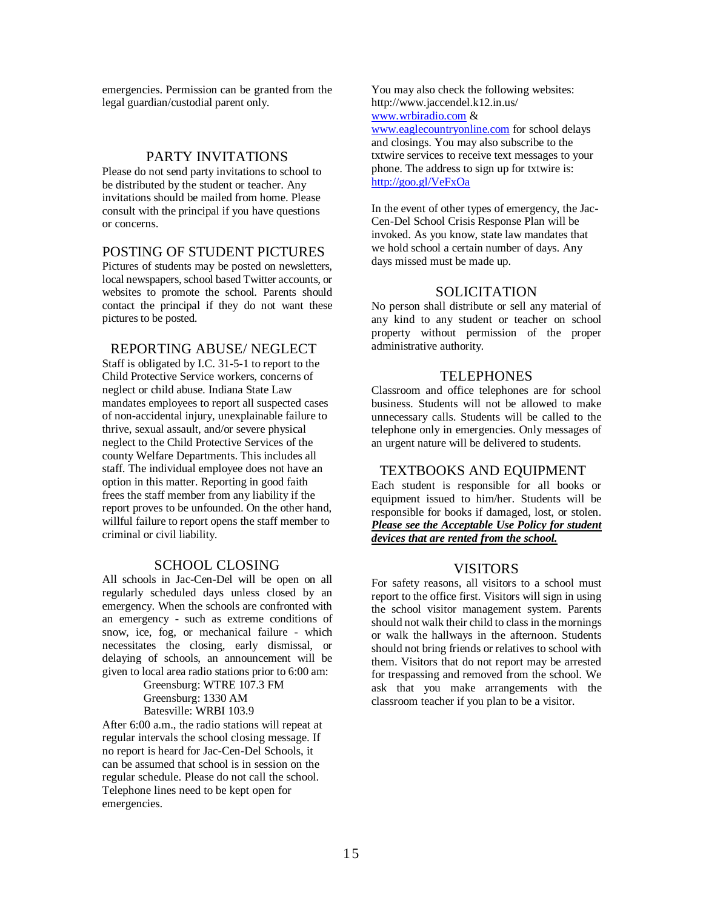emergencies. Permission can be granted from the legal guardian/custodial parent only.

#### PARTY INVITATIONS

Please do not send party invitations to school to be distributed by the student or teacher. Any invitations should be mailed from home. Please consult with the principal if you have questions or concerns.

# POSTING OF STUDENT PICTURES

Pictures of students may be posted on newsletters, local newspapers, school based Twitter accounts, or websites to promote the school. Parents should contact the principal if they do not want these pictures to be posted.

# REPORTING ABUSE/ NEGLECT

Staff is obligated by I.C. 31-5-1 to report to the Child Protective Service workers, concerns of neglect or child abuse. Indiana State Law mandates employees to report all suspected cases of non-accidental injury, unexplainable failure to thrive, sexual assault, and/or severe physical neglect to the Child Protective Services of the county Welfare Departments. This includes all staff. The individual employee does not have an option in this matter. Reporting in good faith frees the staff member from any liability if the report proves to be unfounded. On the other hand, willful failure to report opens the staff member to criminal or civil liability.

# SCHOOL CLOSING

All schools in Jac-Cen-Del will be open on all regularly scheduled days unless closed by an emergency. When the schools are confronted with an emergency - such as extreme conditions of snow, ice, fog, or mechanical failure - which necessitates the closing, early dismissal, or delaying of schools, an announcement will be given to local area radio stations prior to 6:00 am:

> Greensburg: WTRE 107.3 FM Greensburg: 1330 AM Batesville: WRBI 103.9

After 6:00 a.m., the radio stations will repeat at regular intervals the school closing message. If no report is heard for Jac-Cen-Del Schools, it can be assumed that school is in session on the regular schedule. Please do not call the school. Telephone lines need to be kept open for emergencies.

You may also check the following websites: http://www.jaccendel.k12.in.us/ [www.wrbiradio.com](http://www.wrbiradio.com/) & [www.eaglecountryonline.com](http://www.eaglecountryonline.com/) for school delays and closings. You may also subscribe to the txtwire services to receive text messages to your phone. The address to sign up for txtwire is: <http://goo.gl/VeFxOa>

In the event of other types of emergency, the Jac-Cen-Del School Crisis Response Plan will be invoked. As you know, state law mandates that we hold school a certain number of days. Any days missed must be made up.

#### **SOLICITATION**

No person shall distribute or sell any material of any kind to any student or teacher on school property without permission of the proper administrative authority.

#### TELEPHONES

Classroom and office telephones are for school business. Students will not be allowed to make unnecessary calls. Students will be called to the telephone only in emergencies. Only messages of an urgent nature will be delivered to students.

### TEXTBOOKS AND EQUIPMENT

Each student is responsible for all books or equipment issued to him/her. Students will be responsible for books if damaged, lost, or stolen. *Please see the Acceptable Use Policy for student devices that are rented from the school.* 

#### VISITORS

For safety reasons, all visitors to a school must report to the office first. Visitors will sign in using the school visitor management system. Parents should not walk their child to class in the mornings or walk the hallways in the afternoon. Students should not bring friends or relatives to school with them. Visitors that do not report may be arrested for trespassing and removed from the school. We ask that you make arrangements with the classroom teacher if you plan to be a visitor.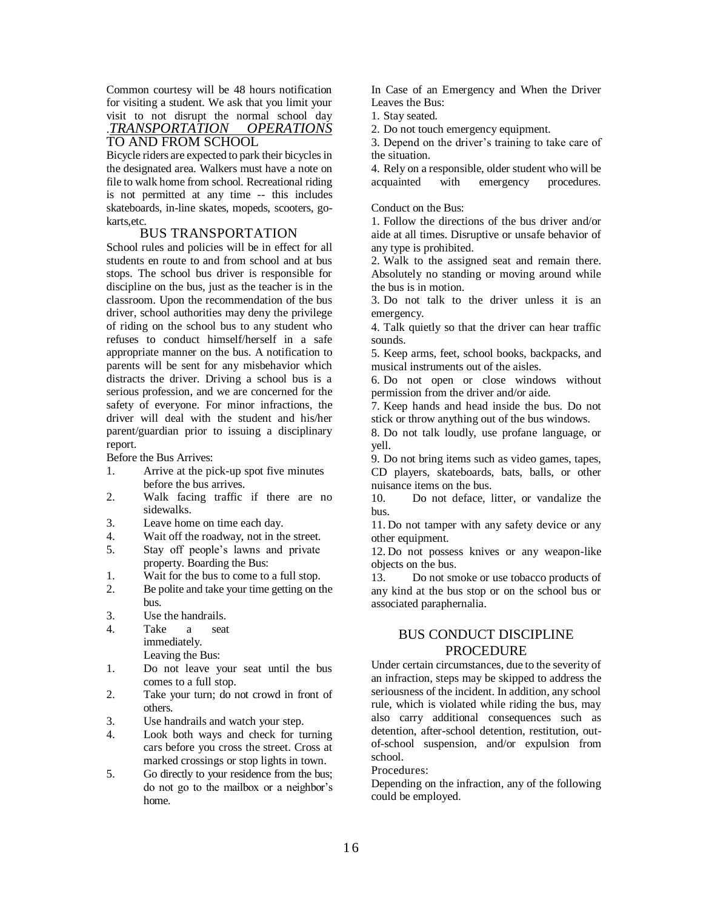Common courtesy will be 48 hours notification for visiting a student. We ask that you limit your visit to not disrupt the normal school day .*TRANSPORTATION OPERATIONS*  TO AND FROM SCHOOL

Bicycle riders are expected to park their bicycles in the designated area. Walkers must have a note on file to walk home from school. Recreational riding is not permitted at any time -- this includes skateboards, in-line skates, mopeds, scooters, gokarts,etc.

# BUS TRANSPORTATION

School rules and policies will be in effect for all students en route to and from school and at bus stops. The school bus driver is responsible for discipline on the bus, just as the teacher is in the classroom. Upon the recommendation of the bus driver, school authorities may deny the privilege of riding on the school bus to any student who refuses to conduct himself/herself in a safe appropriate manner on the bus. A notification to parents will be sent for any misbehavior which distracts the driver. Driving a school bus is a serious profession, and we are concerned for the safety of everyone. For minor infractions, the driver will deal with the student and his/her parent/guardian prior to issuing a disciplinary report.

Before the Bus Arrives:

- 1. Arrive at the pick-up spot five minutes before the bus arrives.
- 2. Walk facing traffic if there are no sidewalks.
- 3. Leave home on time each day.
- 4. Wait off the roadway, not in the street.
- 5. Stay off people's lawns and private property. Boarding the Bus:
- 1. Wait for the bus to come to a full stop.
- 2. Be polite and take your time getting on the bus.
- 3. Use the handrails.
- 4. Take a seat immediately.
	- Leaving the Bus:
- 1. Do not leave your seat until the bus comes to a full stop.
- 2. Take your turn; do not crowd in front of others.
- 3. Use handrails and watch your step.
- 4. Look both ways and check for turning cars before you cross the street. Cross at marked crossings or stop lights in town.
- 5. Go directly to your residence from the bus; do not go to the mailbox or a neighbor's home.

In Case of an Emergency and When the Driver Leaves the Bus:

- 1. Stay seated.
- 2. Do not touch emergency equipment.

3. Depend on the driver's training to take care of the situation.

4. Rely on a responsible, older student who will be acquainted with emergency procedures.

#### Conduct on the Bus:

1. Follow the directions of the bus driver and/or aide at all times. Disruptive or unsafe behavior of any type is prohibited.

2. Walk to the assigned seat and remain there. Absolutely no standing or moving around while the bus is in motion.

3. Do not talk to the driver unless it is an emergency.

4. Talk quietly so that the driver can hear traffic sounds.

5. Keep arms, feet, school books, backpacks, and musical instruments out of the aisles.

6. Do not open or close windows without permission from the driver and/or aide.

7. Keep hands and head inside the bus. Do not stick or throw anything out of the bus windows.

8. Do not talk loudly, use profane language, or yell.

9. Do not bring items such as video games, tapes, CD players, skateboards, bats, balls, or other nuisance items on the bus.

10. Do not deface, litter, or vandalize the bus.

11. Do not tamper with any safety device or any other equipment.

12. Do not possess knives or any weapon-like objects on the bus.

13. Do not smoke or use tobacco products of any kind at the bus stop or on the school bus or associated paraphernalia.

# BUS CONDUCT DISCIPLINE PROCEDURE

Under certain circumstances, due to the severity of an infraction, steps may be skipped to address the seriousness of the incident. In addition, any school rule, which is violated while riding the bus, may also carry additional consequences such as detention, after-school detention, restitution, outof-school suspension, and/or expulsion from school.

Procedures:

Depending on the infraction, any of the following could be employed.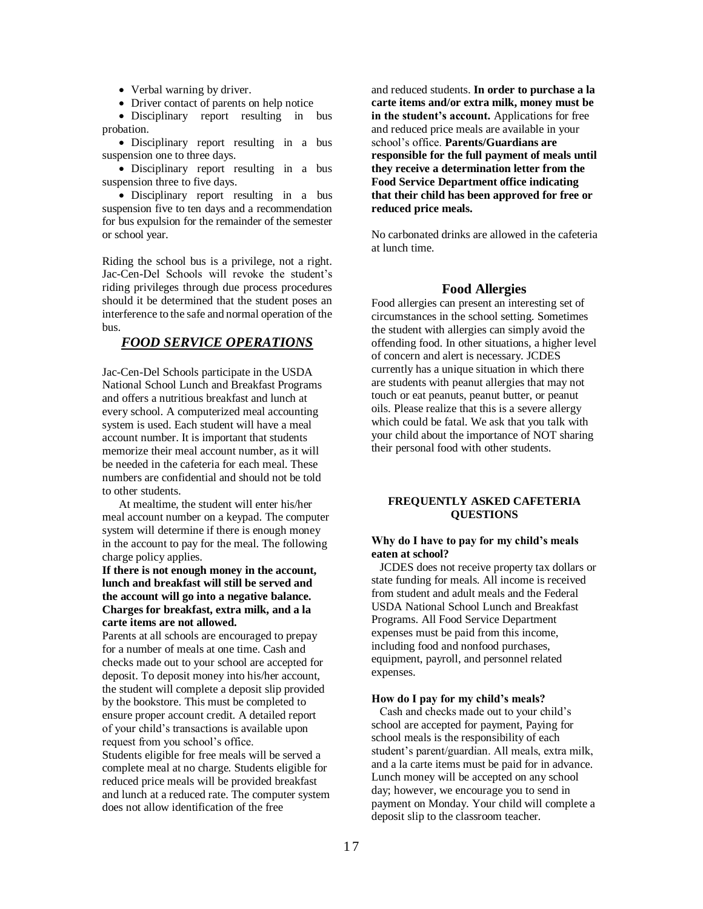• Verbal warning by driver.

• Driver contact of parents on help notice

• Disciplinary report resulting in bus probation.

• Disciplinary report resulting in a bus suspension one to three days.

 Disciplinary report resulting in a bus suspension three to five days.

 Disciplinary report resulting in a bus suspension five to ten days and a recommendation for bus expulsion for the remainder of the semester or school year.

Riding the school bus is a privilege, not a right. Jac-Cen-Del Schools will revoke the student's riding privileges through due process procedures should it be determined that the student poses an interference to the safe and normal operation of the bus.

# *FOOD SERVICE OPERATIONS*

Jac-Cen-Del Schools participate in the USDA National School Lunch and Breakfast Programs and offers a nutritious breakfast and lunch at every school. A computerized meal accounting system is used. Each student will have a meal account number. It is important that students memorize their meal account number, as it will be needed in the cafeteria for each meal. These numbers are confidential and should not be told to other students.

At mealtime, the student will enter his/her meal account number on a keypad. The computer system will determine if there is enough money in the account to pay for the meal. The following charge policy applies.

**If there is not enough money in the account, lunch and breakfast will still be served and the account will go into a negative balance. Charges for breakfast, extra milk, and a la carte items are not allowed.**

Parents at all schools are encouraged to prepay for a number of meals at one time. Cash and checks made out to your school are accepted for deposit. To deposit money into his/her account, the student will complete a deposit slip provided by the bookstore. This must be completed to ensure proper account credit. A detailed report of your child's transactions is available upon request from you school's office.

Students eligible for free meals will be served a complete meal at no charge. Students eligible for reduced price meals will be provided breakfast and lunch at a reduced rate. The computer system does not allow identification of the free

and reduced students. **In order to purchase a la carte items and/or extra milk, money must be in the student's account.** Applications for free and reduced price meals are available in your school's office. **Parents/Guardians are responsible for the full payment of meals until they receive a determination letter from the Food Service Department office indicating that their child has been approved for free or reduced price meals.**

No carbonated drinks are allowed in the cafeteria at lunch time.

# **Food Allergies**

Food allergies can present an interesting set of circumstances in the school setting. Sometimes the student with allergies can simply avoid the offending food. In other situations, a higher level of concern and alert is necessary. JCDES currently has a unique situation in which there are students with peanut allergies that may not touch or eat peanuts, peanut butter, or peanut oils. Please realize that this is a severe allergy which could be fatal. We ask that you talk with your child about the importance of NOT sharing their personal food with other students.

#### **FREQUENTLY ASKED CAFETERIA QUESTIONS**

#### **Why do I have to pay for my child's meals eaten at school?**

JCDES does not receive property tax dollars or state funding for meals. All income is received from student and adult meals and the Federal USDA National School Lunch and Breakfast Programs. All Food Service Department expenses must be paid from this income, including food and nonfood purchases, equipment, payroll, and personnel related expenses.

#### **How do I pay for my child's meals?**

Cash and checks made out to your child's school are accepted for payment, Paying for school meals is the responsibility of each student's parent/guardian. All meals, extra milk, and a la carte items must be paid for in advance. Lunch money will be accepted on any school day; however, we encourage you to send in payment on Monday. Your child will complete a deposit slip to the classroom teacher.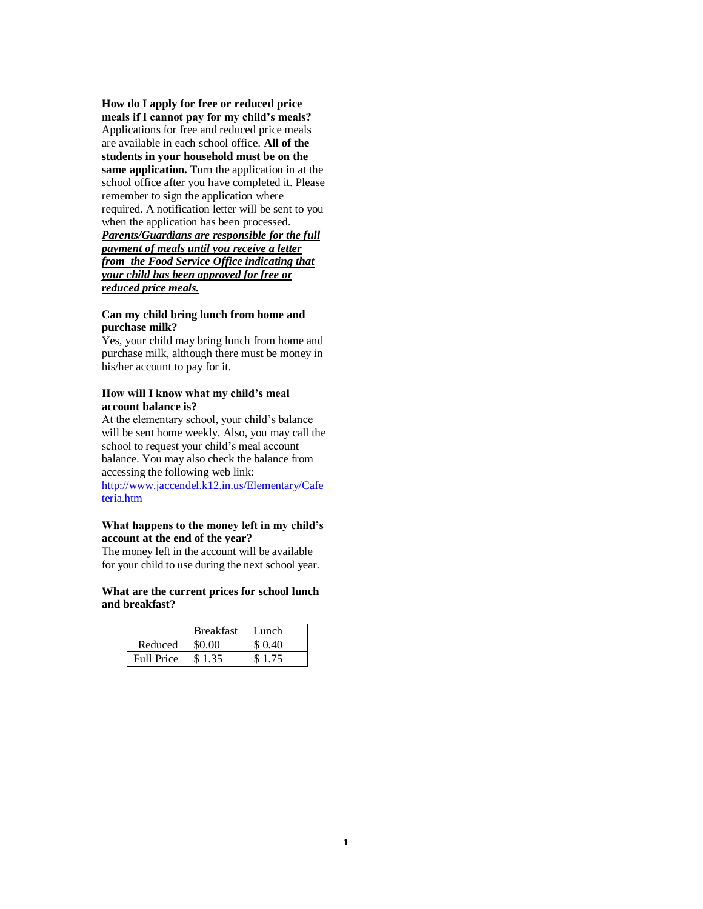**How do I apply for free or reduced price meals if I cannot pay for my child's meals?**  Applications for free and reduced price meals are available in each school office. **All of the students in your household must be on the same application.** Turn the application in at the school office after you have completed it. Please remember to sign the application where required. A notification letter will be sent to you when the application has been processed. *Parents/Guardians are responsible for the full payment of meals until you receive a letter from the Food Service Office indicating that your child has been approved for free or reduced price meals.* 

#### **Can my child bring lunch from home and purchase milk?**

Yes, your child may bring lunch from home and purchase milk, although there must be money in his/her account to pay for it.

#### **How will I know what my child's meal account balance is?**

At the elementary school, your child's balance will be sent home weekly. Also, you may call the school to request your child's meal account balance. You may also check the balance from accessing the following web link: <http://www.jaccendel.k12.in.us/Elementary/Cafe> teria.htm

#### **What happens to the money left in my child's account at the end of the year?**

The money left in the account will be available for your child to use during the next school year.

#### **What are the current prices for school lunch and breakfast?**

|                   | <b>Breakfast</b> | - Lunch |
|-------------------|------------------|---------|
| Reduced           | \$0.00           | \$ 0.40 |
| <b>Full Price</b> | \$1.35           |         |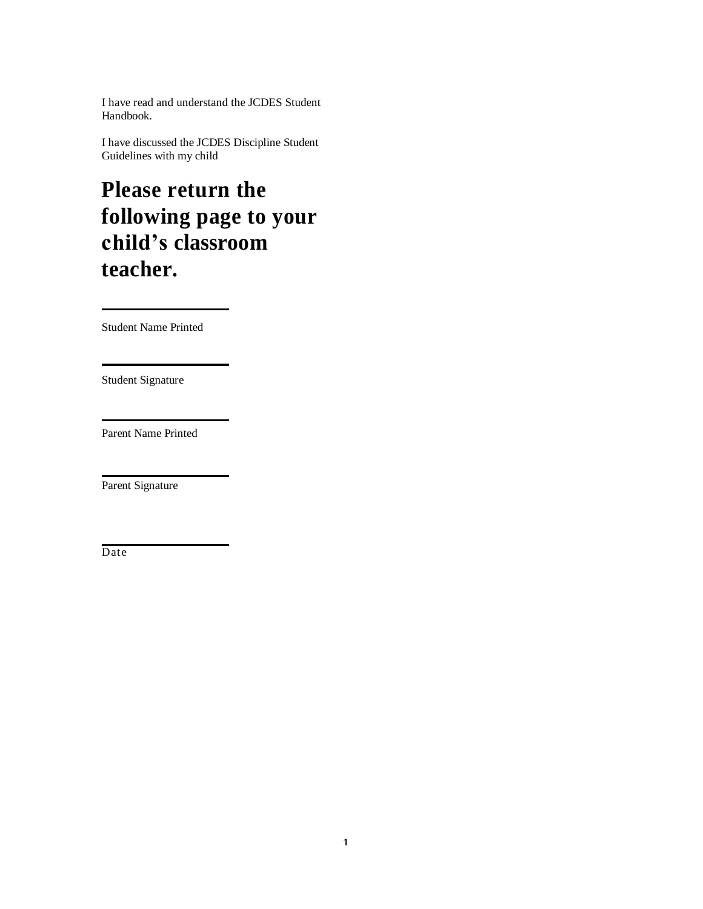I have read and understand the JCDES Student Handbook.

I have discussed the JCDES Discipline Student Guidelines with my child

# **Please return the following page to your child's classroom teacher.**

Student Name Printed

Student Signature

Parent Name Printed

Parent Signature

Date